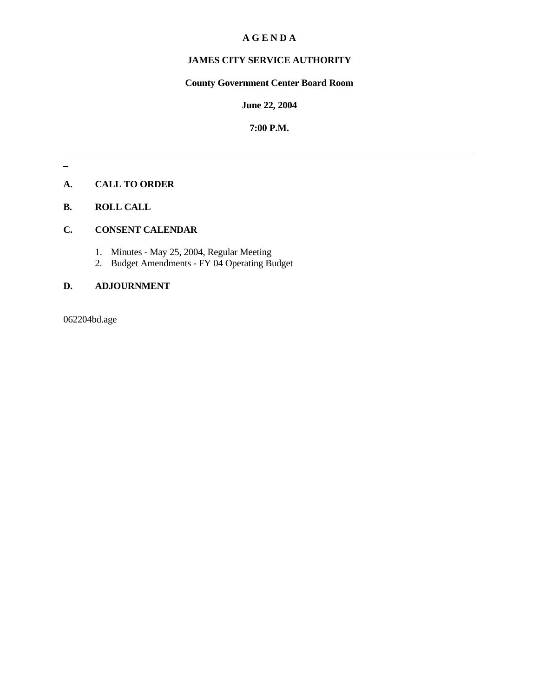## **A G E N D A**

# **JAMES CITY SERVICE AUTHORITY**

# **County Government Center Board Room**

## **June 22, 2004**

#### **7:00 P.M.**

## **A. CALL TO ORDER**

#### **B. ROLL CALL**

# **C. CONSENT CALENDAR**

- 1. Minutes May 25, 2004, Regular Meeting
- 2. Budget Amendments FY 04 Operating Budget

### **D. ADJOURNMENT**

062204bd.age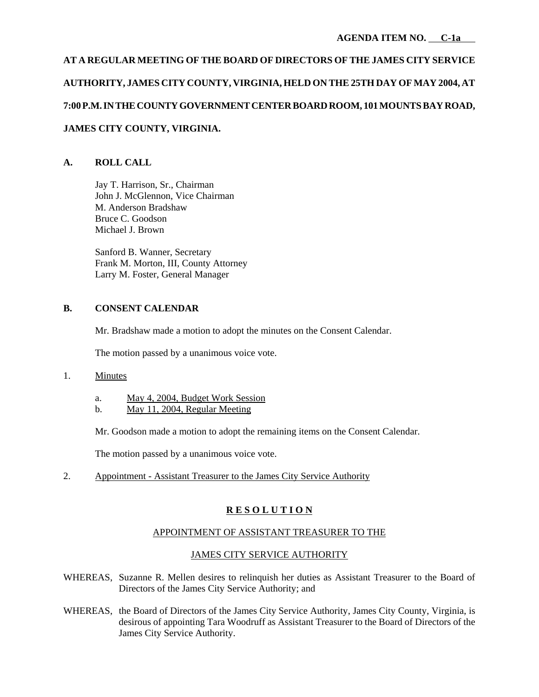# **AT A REGULAR MEETING OF THE BOARD OF DIRECTORS OF THE JAMES CITY SERVICE AUTHORITY, JAMES CITY COUNTY, VIRGINIA, HELD ON THE 25TH DAY OF MAY 2004, AT 7:00 P.M. IN THE COUNTY GOVERNMENT CENTER BOARD ROOM, 101 MOUNTS BAY ROAD, JAMES CITY COUNTY, VIRGINIA.**

## **A. ROLL CALL**

Jay T. Harrison, Sr., Chairman John J. McGlennon, Vice Chairman M. Anderson Bradshaw Bruce C. Goodson Michael J. Brown

Sanford B. Wanner, Secretary Frank M. Morton, III, County Attorney Larry M. Foster, General Manager

#### **B. CONSENT CALENDAR**

Mr. Bradshaw made a motion to adopt the minutes on the Consent Calendar.

The motion passed by a unanimous voice vote.

#### 1. Minutes

- a. May 4, 2004, Budget Work Session
- b.  $\text{May } 11, 2004, \text{Regular Meeting}$

Mr. Goodson made a motion to adopt the remaining items on the Consent Calendar.

The motion passed by a unanimous voice vote.

2. Appointment - Assistant Treasurer to the James City Service Authority

## **R E S O L U T I O N**

#### APPOINTMENT OF ASSISTANT TREASURER TO THE

#### JAMES CITY SERVICE AUTHORITY

- WHEREAS, Suzanne R. Mellen desires to relinquish her duties as Assistant Treasurer to the Board of Directors of the James City Service Authority; and
- WHEREAS, the Board of Directors of the James City Service Authority, James City County, Virginia, is desirous of appointing Tara Woodruff as Assistant Treasurer to the Board of Directors of the James City Service Authority.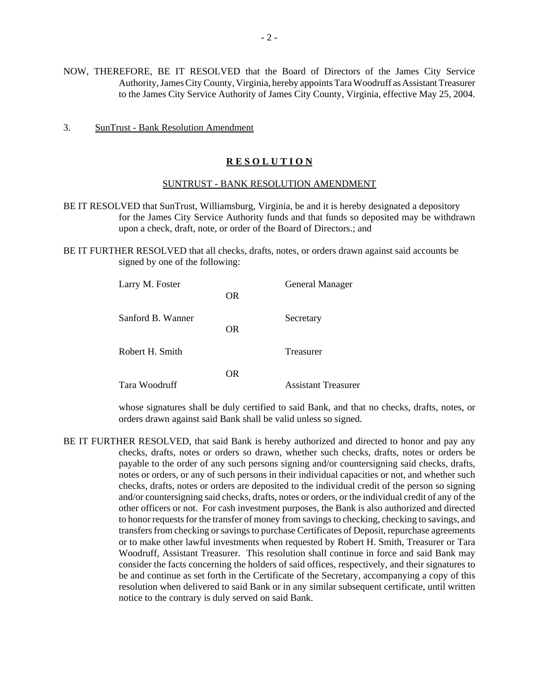- NOW, THEREFORE, BE IT RESOLVED that the Board of Directors of the James City Service Authority, James City County, Virginia, hereby appoints Tara Woodruff as Assistant Treasurer to the James City Service Authority of James City County, Virginia, effective May 25, 2004.
- 3. SunTrust Bank Resolution Amendment

#### **R E S O L U T I O N**

#### SUNTRUST - BANK RESOLUTION AMENDMENT

- BE IT RESOLVED that SunTrust, Williamsburg, Virginia, be and it is hereby designated a depository for the James City Service Authority funds and that funds so deposited may be withdrawn upon a check, draft, note, or order of the Board of Directors.; and
- BE IT FURTHER RESOLVED that all checks, drafts, notes, or orders drawn against said accounts be signed by one of the following:

| Larry M. Foster   | OR. | <b>General Manager</b>     |
|-------------------|-----|----------------------------|
| Sanford B. Wanner | OR. | Secretary                  |
| Robert H. Smith   |     | Treasurer                  |
| Tara Woodruff     | OR. | <b>Assistant Treasurer</b> |

whose signatures shall be duly certified to said Bank, and that no checks, drafts, notes, or orders drawn against said Bank shall be valid unless so signed.

BE IT FURTHER RESOLVED, that said Bank is hereby authorized and directed to honor and pay any checks, drafts, notes or orders so drawn, whether such checks, drafts, notes or orders be payable to the order of any such persons signing and/or countersigning said checks, drafts, notes or orders, or any of such persons in their individual capacities or not, and whether such checks, drafts, notes or orders are deposited to the individual credit of the person so signing and/or countersigning said checks, drafts, notes or orders, or the individual credit of any of the other officers or not. For cash investment purposes, the Bank is also authorized and directed to honor requests for the transfer of money from savings to checking, checking to savings, and transfers from checking or savings to purchase Certificates of Deposit, repurchase agreements or to make other lawful investments when requested by Robert H. Smith, Treasurer or Tara Woodruff, Assistant Treasurer. This resolution shall continue in force and said Bank may consider the facts concerning the holders of said offices, respectively, and their signatures to be and continue as set forth in the Certificate of the Secretary, accompanying a copy of this resolution when delivered to said Bank or in any similar subsequent certificate, until written notice to the contrary is duly served on said Bank.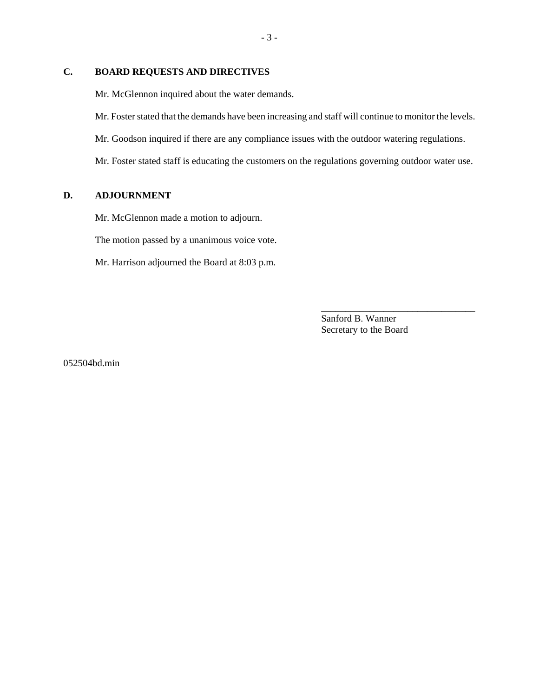## **C. BOARD REQUESTS AND DIRECTIVES**

Mr. McGlennon inquired about the water demands.

Mr. Foster stated that the demands have been increasing and staff will continue to monitor the levels.

Mr. Goodson inquired if there are any compliance issues with the outdoor watering regulations.

Mr. Foster stated staff is educating the customers on the regulations governing outdoor water use.

### **D. ADJOURNMENT**

Mr. McGlennon made a motion to adjourn.

The motion passed by a unanimous voice vote.

Mr. Harrison adjourned the Board at 8:03 p.m.

Sanford B. Wanner Secretary to the Board

\_\_\_\_\_\_\_\_\_\_\_\_\_\_\_\_\_\_\_\_\_\_\_\_\_\_\_\_\_\_\_\_

052504bd.min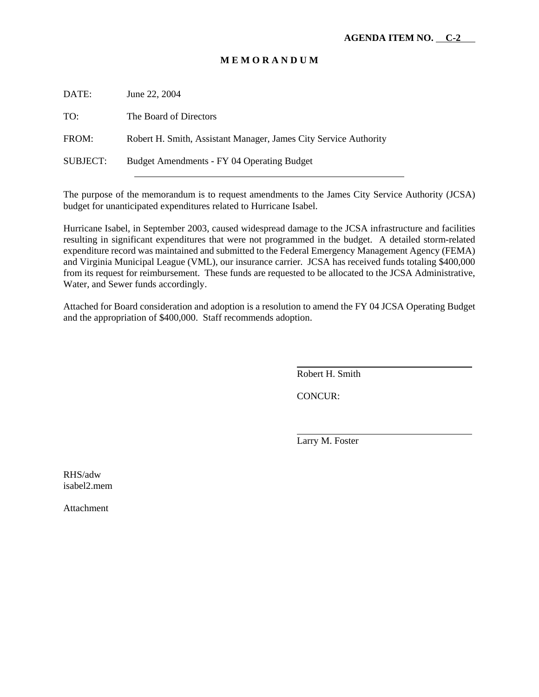## **M E M O R A N D U M**

DATE: June 22, 2004 TO: The Board of Directors FROM: Robert H. Smith, Assistant Manager, James City Service Authority SUBJECT: Budget Amendments - FY 04 Operating Budget l

The purpose of the memorandum is to request amendments to the James City Service Authority (JCSA) budget for unanticipated expenditures related to Hurricane Isabel.

Hurricane Isabel, in September 2003, caused widespread damage to the JCSA infrastructure and facilities resulting in significant expenditures that were not programmed in the budget. A detailed storm-related expenditure record was maintained and submitted to the Federal Emergency Management Agency (FEMA) and Virginia Municipal League (VML), our insurance carrier. JCSA has received funds totaling \$400,000 from its request for reimbursement. These funds are requested to be allocated to the JCSA Administrative, Water, and Sewer funds accordingly.

Attached for Board consideration and adoption is a resolution to amend the FY 04 JCSA Operating Budget and the appropriation of \$400,000. Staff recommends adoption.

Robert H. Smith

CONCUR:

 $\overline{a}$ 

l

Larry M. Foster

RHS/adw isabel2.mem

Attachment